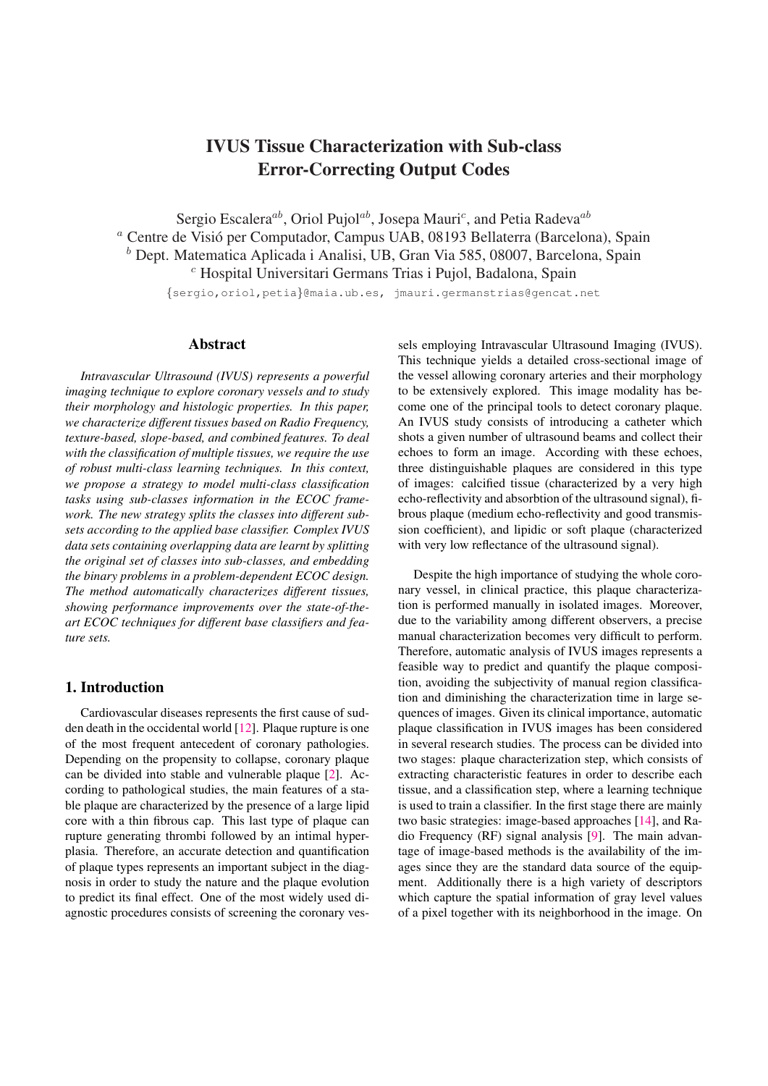# IVUS Tissue Characterization with Sub-class Error-Correcting Output Codes

Sergio Escalera<sup>ab</sup>, Oriol Pujol<sup>ab</sup>, Josepa Mauri<sup>c</sup>, and Petia Radeva<sup>ab</sup> <sup>a</sup> Centre de Visio per Computador, Campus UAB, 08193 Bellaterra (Barcelona), Spain ´  $<sup>b</sup>$  Dept. Matematica Aplicada i Analisi, UB, Gran Via 585, 08007, Barcelona, Spain</sup> <sup>c</sup> Hospital Universitari Germans Trias i Pujol, Badalona, Spain

{sergio,oriol,petia}@maia.ub.es, jmauri.germanstrias@gencat.net

#### Abstract

*Intravascular Ultrasound (IVUS) represents a powerful imaging technique to explore coronary vessels and to study their morphology and histologic properties. In this paper, we characterize different tissues based on Radio Frequency, texture-based, slope-based, and combined features. To deal with the classification of multiple tissues, we require the use of robust multi-class learning techniques. In this context, we propose a strategy to model multi-class classification tasks using sub-classes information in the ECOC framework. The new strategy splits the classes into different subsets according to the applied base classifier. Complex IVUS data sets containing overlapping data are learnt by splitting the original set of classes into sub-classes, and embedding the binary problems in a problem-dependent ECOC design. The method automatically characterizes different tissues, showing performance improvements over the state-of-theart ECOC techniques for different base classifiers and feature sets.*

# 1. Introduction

Cardiovascular diseases represents the first cause of sudden death in the occidental world [12]. Plaque rupture is one of the most frequent antecedent of coronary pathologies. Depending on the propensity to collapse, coronary plaque can be divided into stable and vulnerable plaque [2]. According to pathological studies, the main features of a stable plaque are characterized by the presence of a large lipid core with a thin fibrous cap. This last type of plaque can rupture generating thrombi followed by an intimal hyperplasia. Therefore, an accurate detection and quantification of plaque types represents an important subject in the diagnosis in order to study the nature and the plaque evolution to predict its final effect. One of the most widely used diagnostic procedures consists of screening the coronary vessels employing Intravascular Ultrasound Imaging (IVUS). This technique yields a detailed cross-sectional image of the vessel allowing coronary arteries and their morphology to be extensively explored. This image modality has become one of the principal tools to detect coronary plaque. An IVUS study consists of introducing a catheter which shots a given number of ultrasound beams and collect their echoes to form an image. According with these echoes, three distinguishable plaques are considered in this type of images: calcified tissue (characterized by a very high echo-reflectivity and absorbtion of the ultrasound signal), fibrous plaque (medium echo-reflectivity and good transmission coefficient), and lipidic or soft plaque (characterized with very low reflectance of the ultrasound signal).

Despite the high importance of studying the whole coronary vessel, in clinical practice, this plaque characterization is performed manually in isolated images. Moreover, due to the variability among different observers, a precise manual characterization becomes very difficult to perform. Therefore, automatic analysis of IVUS images represents a feasible way to predict and quantify the plaque composition, avoiding the subjectivity of manual region classification and diminishing the characterization time in large sequences of images. Given its clinical importance, automatic plaque classification in IVUS images has been considered in several research studies. The process can be divided into two stages: plaque characterization step, which consists of extracting characteristic features in order to describe each tissue, and a classification step, where a learning technique is used to train a classifier. In the first stage there are mainly two basic strategies: image-based approaches [14], and Radio Frequency (RF) signal analysis [9]. The main advantage of image-based methods is the availability of the images since they are the standard data source of the equipment. Additionally there is a high variety of descriptors which capture the spatial information of gray level values of a pixel together with its neighborhood in the image. On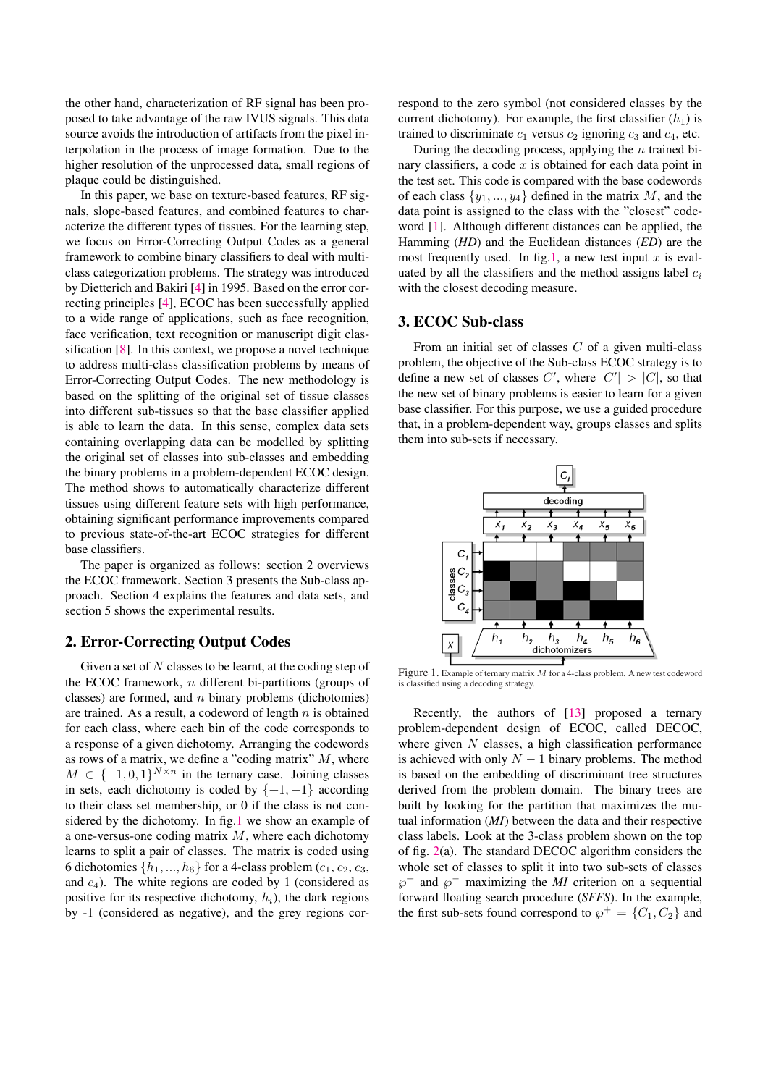the other hand, characterization of RF signal has been proposed to take advantage of the raw IVUS signals. This data source avoids the introduction of artifacts from the pixel interpolation in the process of image formation. Due to the higher resolution of the unprocessed data, small regions of plaque could be distinguished.

In this paper, we base on texture-based features, RF signals, slope-based features, and combined features to characterize the different types of tissues. For the learning step, we focus on Error-Correcting Output Codes as a general framework to combine binary classifiers to deal with multiclass categorization problems. The strategy was introduced by Dietterich and Bakiri [4] in 1995. Based on the error correcting principles [4], ECOC has been successfully applied to a wide range of applications, such as face recognition, face verification, text recognition or manuscript digit classification [8]. In this context, we propose a novel technique to address multi-class classification problems by means of Error-Correcting Output Codes. The new methodology is based on the splitting of the original set of tissue classes into different sub-tissues so that the base classifier applied is able to learn the data. In this sense, complex data sets containing overlapping data can be modelled by splitting the original set of classes into sub-classes and embedding the binary problems in a problem-dependent ECOC design. The method shows to automatically characterize different tissues using different feature sets with high performance, obtaining significant performance improvements compared to previous state-of-the-art ECOC strategies for different base classifiers.

The paper is organized as follows: section 2 overviews the ECOC framework. Section 3 presents the Sub-class approach. Section 4 explains the features and data sets, and section 5 shows the experimental results.

## 2. Error-Correcting Output Codes

Given a set of  $N$  classes to be learnt, at the coding step of the ECOC framework,  $n$  different bi-partitions (groups of classes) are formed, and  $n$  binary problems (dichotomies) are trained. As a result, a codeword of length  $n$  is obtained for each class, where each bin of the code corresponds to a response of a given dichotomy. Arranging the codewords as rows of a matrix, we define a "coding matrix"  $M$ , where  $M \in \{-1, 0, 1\}^{N \times n}$  in the ternary case. Joining classes in sets, each dichotomy is coded by  $\{+1, -1\}$  according to their class set membership, or 0 if the class is not considered by the dichotomy. In fig.1 we show an example of a one-versus-one coding matrix  $M$ , where each dichotomy learns to split a pair of classes. The matrix is coded using 6 dichotomies  $\{h_1, ..., h_6\}$  for a 4-class problem  $(c_1, c_2, c_3,$ and  $c_4$ ). The white regions are coded by 1 (considered as positive for its respective dichotomy,  $h_i$ ), the dark regions by -1 (considered as negative), and the grey regions correspond to the zero symbol (not considered classes by the current dichotomy). For example, the first classifier  $(h_1)$  is trained to discriminate  $c_1$  versus  $c_2$  ignoring  $c_3$  and  $c_4$ , etc.

During the decoding process, applying the  $n$  trained binary classifiers, a code  $x$  is obtained for each data point in the test set. This code is compared with the base codewords of each class  $\{y_1, ..., y_4\}$  defined in the matrix M, and the data point is assigned to the class with the "closest" codeword [1]. Although different distances can be applied, the Hamming (*HD*) and the Euclidean distances (*ED*) are the most frequently used. In fig.1, a new test input  $x$  is evaluated by all the classifiers and the method assigns label  $c_i$ with the closest decoding measure.

### 3. ECOC Sub-class

From an initial set of classes  $C$  of a given multi-class problem, the objective of the Sub-class ECOC strategy is to define a new set of classes C', where  $|C'| > |C|$ , so that the new set of binary problems is easier to learn for a given the new set of binary problems is easier to learn for a given base classifier. For this purpose, we use a guided procedure that, in a problem-dependent way, groups classes and splits them into sub-sets if necessary.



Figure 1. Example of ternary matrix M for a 4-class problem. A new test codeword is classified using a decoding strategy.

Recently, the authors of [13] proposed a ternary problem-dependent design of ECOC, called DECOC, where given  $N$  classes, a high classification performance is achieved with only  $N - 1$  binary problems. The method is based on the embedding of discriminant tree structures derived from the problem domain. The binary trees are built by looking for the partition that maximizes the mutual information (*MI*) between the data and their respective class labels. Look at the 3-class problem shown on the top of fig. 2(a). The standard DECOC algorithm considers the whole set of classes to split it into two sub-sets of classes <sup>℘</sup><sup>+</sup> and ℘<sup>−</sup> maximizing the *MI* criterion on a sequential forward floating search procedure (*SFFS*). In the example, the first sub-sets found correspond to  $\varphi^+ = \{C_1, C_2\}$  and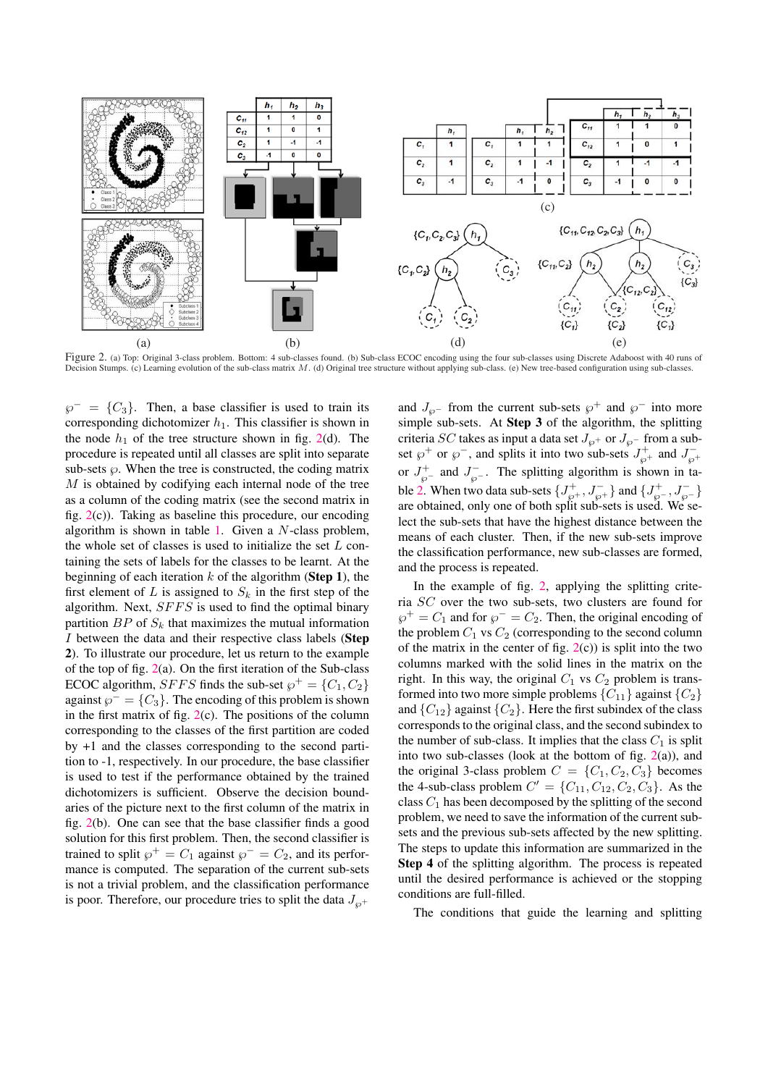

Figure 2. (a) Top: Original 3-class problem. Bottom: 4 sub-classes found. (b) Sub-class ECOC encoding using the four sub-classes using Discrete Adaboost with 40 runs of Decision Stumps. (c) Learning evolution of the sub-class matrix M. (d) Original tree structure without applying sub-class. (e) New tree-based configuration using sub-classes

 $\wp^- = \{C_3\}$ . Then, a base classifier is used to train its corresponding dichotomizer  $h_1$ . This classifier is shown in the node  $h_1$  of the tree structure shown in fig. 2(d). The procedure is repeated until all classes are split into separate sub-sets  $\wp$ . When the tree is constructed, the coding matrix M is obtained by codifying each internal node of the tree as a column of the coding matrix (see the second matrix in fig. 2(c)). Taking as baseline this procedure, our encoding algorithm is shown in table 1. Given a  $N$ -class problem, the whole set of classes is used to initialize the set  $L$  containing the sets of labels for the classes to be learnt. At the beginning of each iteration  $k$  of the algorithm (**Step 1**), the first element of L is assigned to  $S_k$  in the first step of the algorithm. Next, SFFS is used to find the optimal binary partition  $BP$  of  $S_k$  that maximizes the mutual information I between the data and their respective class labels (Step 2). To illustrate our procedure, let us return to the example of the top of fig.  $2(a)$ . On the first iteration of the Sub-class ECOC algorithm, SFFS finds the sub-set  $\wp^+ = \{C_1, C_2\}$ against  $\wp^- = \{C_3\}$ . The encoding of this problem is shown in the first matrix of fig.  $2(c)$ . The positions of the column corresponding to the classes of the first partition are coded by +1 and the classes corresponding to the second partition to -1, respectively. In our procedure, the base classifier is used to test if the performance obtained by the trained dichotomizers is sufficient. Observe the decision boundaries of the picture next to the first column of the matrix in fig. 2(b). One can see that the base classifier finds a good solution for this first problem. Then, the second classifier is trained to split  $\wp^+ = C_1$  against  $\wp^- = C_2$ , and its performance is computed. The separation of the current sub-sets is not a trivial problem, and the classification performance is poor. Therefore, our procedure tries to split the data  $J_{\varphi^+}$ 

and  $J_{\varphi}$ - from the current sub-sets  $\varphi$ <sup>+</sup> and  $\varphi$ <sup>-</sup> into more simple sub-sets. At Step 3 of the algorithm, the splitting criteria SC takes as input a data set  $J_{\wp}$ + or  $J_{\wp}$ - from a subset  $\wp^+$  or  $\wp^-$ , and splits it into two sub-sets  $J_{\wp^+}^+$  and  $J_{\wp^+}^$ or  $J_{\wp}^+$  and  $J_{\wp}^-$ . The splitting algorithm is shown in table 2. When two data sub-sets  $\{J_{\wp}^+, J_{\wp}^-\}$  and  $\{J_{\wp}^+, J_{\wp}^-\}$ <br>are obtained, only one of both split sub-sets is used. We seare obtained, only one of both split sub-sets is used. We select the sub-sets that have the highest distance between the means of each cluster. Then, if the new sub-sets improve the classification performance, new sub-classes are formed, and the process is repeated.

In the example of fig. 2, applying the splitting criteria SC over the two sub-sets, two clusters are found for  $\wp^+ = C_1$  and for  $\wp^- = C_2$ . Then, the original encoding of the problem  $C_1$  vs  $C_2$  (corresponding to the second column of the matrix in the center of fig.  $2(c)$ ) is split into the two columns marked with the solid lines in the matrix on the right. In this way, the original  $C_1$  vs  $C_2$  problem is transformed into two more simple problems  $\{C_{11}\}\$ against  $\{C_2\}$ and  ${C_{12}}$  against  ${C_2}$ . Here the first subindex of the class corresponds to the original class, and the second subindex to the number of sub-class. It implies that the class  $C_1$  is split into two sub-classes (look at the bottom of fig.  $2(a)$ ), and the original 3-class problem  $C = \{C_1, C_2, C_3\}$  becomes the 4-sub-class problem  $C' = \{C_{11}, C_{12}, C_2, C_3\}$ . As the class  $C_1$  has been decomposed by the splitting of the second class  $C_1$  has been decomposed by the splitting of the second problem, we need to save the information of the current subsets and the previous sub-sets affected by the new splitting. The steps to update this information are summarized in the Step 4 of the splitting algorithm. The process is repeated until the desired performance is achieved or the stopping conditions are full-filled.

The conditions that guide the learning and splitting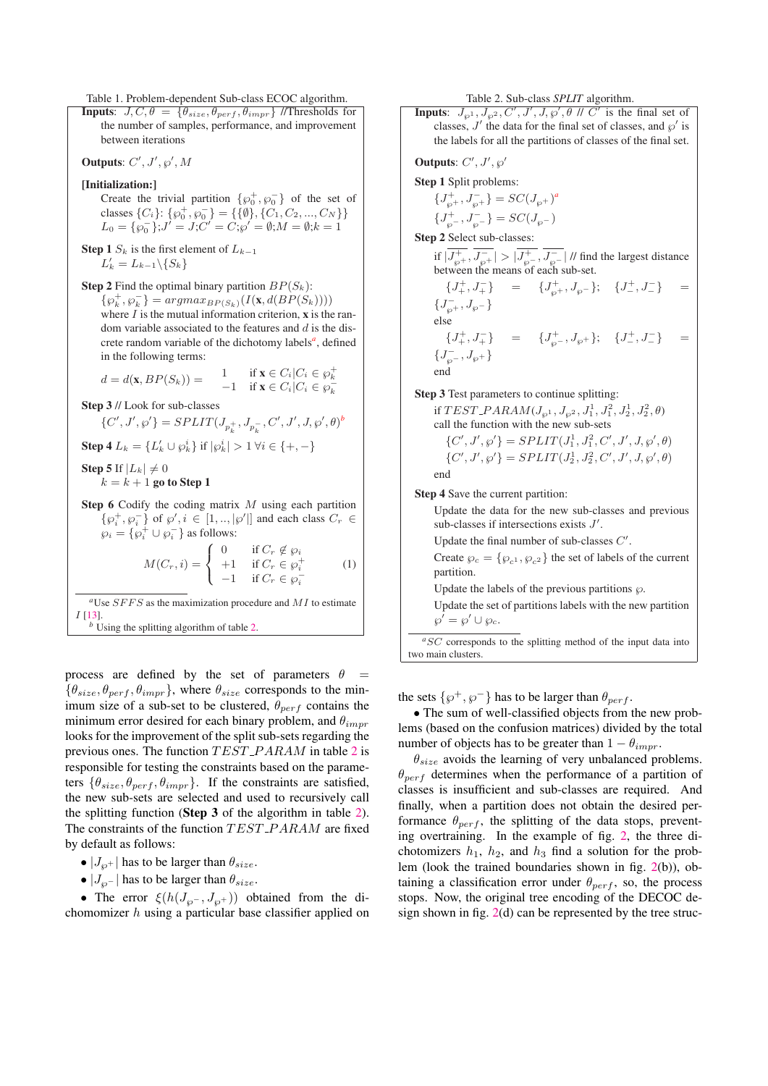Table 1. Problem-dependent Sub-class ECOC algorithm.

**Inputs:**  $J, C, \theta = \{\theta_{size}, \theta_{perf}, \theta_{impr}\}\$  //Thresholds for the number of samples, performance, and improvement between iterations

Outputs:  $C', J', \wp', M$ 

[Initialization:]

Create the trivial partition  $\{\varphi_0^+, \varphi_0^-\}$  of the set of classes  $\{C_i\}$ :  $\{\wp_0^+,\wp_0^-\} = \{\{\emptyset\},\{C_1, C_2, ..., C_N\}\}\$  $L_0 = {\varphi_0^-}; J' = J; C' = C; \varphi' = \emptyset; M = \emptyset; k = 1$ 

Step 1  $S_k$  is the first element of  $L_{k-1}$  $L'_k = L_{k-1} \setminus \{S_k\}$ 

**Step 2** Find the optimal binary partition  $BP(S_k)$ :

 $\{\wp_k^+,\wp_k^-\} = argmax_{B P(S_k)}(I(\mathbf{x},d(B P(S_k))))$ where  $I$  is the mutual information criterion,  $x$  is the random variable associated to the features and  $d$  is the discrete random variable of the dichotomy labels<sup>a</sup>, defined in the following terms:

$$
d = d(\mathbf{x}, BP(S_k)) = \begin{cases} 1 & \text{if } \mathbf{x} \in C_i | C_i \in \wp_k^+ \\ -1 & \text{if } \mathbf{x} \in C_i | C_i \in \wp_k^- \end{cases}
$$

Step 3 // Look for sub-classes

 ${C', J', \wp'} = {SPLIT}(J_{p_k^+}, J_{p_k^-}, C', J', J, \wp', \theta)^b$ 

**Step 4** 
$$
L_k = \{L'_k \cup \wp_k^i\}
$$
 if  $|\wp_k^i| > 1 \ \forall i \in \{+, -\}$ 

Step 5 If  $|L_k| \neq 0$  $k = k + 1$  go to Step 1

**Step 6** Codify the coding matrix  $M$  using each partition  $\{\varphi_i^+,\varphi_i^-\}$  of  $\varphi', i \in [1,..,|\varphi'|]$  and each class  $C_r \in$  $\wp_i = \{ \wp_i^+ \cup \wp_i^- \}$  as follows:  $\sqrt{2}$ 

$$
M(C_r, i) = \begin{cases} 0 & \text{if } C_r \notin \wp_i \\ +1 & \text{if } C_r \in \wp_i^+ \\ -1 & \text{if } C_r \in \wp_i^- \end{cases} \tag{1}
$$

 ${}^{a}$ Use  $SFFS$  as the maximization procedure and  $MI$  to estimate I [13].

```
b Using the splitting algorithm of table 2.
```
process are defined by the set of parameters  $\theta$  =  $\{\theta_{size}, \theta_{perf}, \theta_{impr}\}\$ , where  $\theta_{size}$  corresponds to the minimum size of a sub-set to be clustered,  $\theta_{perf}$  contains the minimum error desired for each binary problem, and  $\theta_{impr}$ looks for the improvement of the split sub-sets regarding the previous ones. The function  $TEST\_PARAM$  in table 2 is responsible for testing the constraints based on the parameters  $\{\theta_{size}, \theta_{perf}, \theta_{impr}\}.$  If the constraints are satisfied, the new sub-sets are selected and used to recursively call the splitting function (Step 3 of the algorithm in table 2). The constraints of the function TEST\_PARAM are fixed by default as follows:

- $|J_{\varphi^+}|$  has to be larger than  $\theta_{size}$ .
- $|J_{\varphi}$  has to be larger than  $\theta_{size}$ .

• The error  $\xi(h(J_{\varphi^-}, J_{\varphi^+}))$  obtained from the dichomomizer  $h$  using a particular base classifier applied on

**Inputs**:  $J_{\wp^1}$ ,  $J_{\wp^2}$ ,  $C'$ ,  $J'$ ,  $J$ ,  $\wp'$ ,  $\theta$  //  $C'$  is the final set of classes, J' the data for the final set of classes, and  $\wp'$  is the labels for all the partitions of classes of the final set. Outputs:  $C', J', \wp'$ Step 1 Split problems:  ${J^+_{\wp^+}, J^-_{\wp^+}} = SC(J_{\wp^+})^a$  ${J^+_{\wp^-}, J^-_{\wp^-} } = SC(J_{\wp^-})$ Step 2 Select sub-classes: if  $|J_{\wp^+}^+, J_{\wp^-}^-| > |J_{\wp^-}^+, J_{\wp^-}^-|$  // find the largest distance between the means of each sub-set.  $\label{eq:J+J+J+} \{J^+_+,J^-_+\} \quad = \quad \{J^+_{\wp^+},J^-_{\wp^-}\}; \quad \{J^+_-,J^-_-\} \quad =$  $\{J_{\wp^+}^-, J_{\wp^-}\}$ else  $\label{eq:J+J+J+} \{J^+_+,J^-_+\} \quad = \quad \{J^+_{\wp^-},J_{\wp^+}\}; \quad \{J^+_-,J^-_-\} \quad =$  $\{J_{\wp^-}^-, J_{\wp^+}\}$ end Step 3 Test parameters to continue splitting: if TEST\_PARAM $(J_{\wp^1}, J_{\wp^2}, J_1^1, J_1^2, J_2^1, J_2^2, \theta)$ call the function with the new sub-sets  $\{C', J', \wp'\} = SPLIT(J_1^1, J_1^2, C', J', J, \wp', \theta)$  $\{C', J', \wp'\} = SPLIT(J_2^1, J_2^2, C', J', J, \wp', \theta)$ end Step 4 Save the current partition: Update the data for the new sub-classes and previous sub-classes if intersections exists  $J'$ . Update the final number of sub-classes  $C'$ . Create  $\wp_c = \{\wp_{c^1}, \wp_{c^2}\}\$  the set of labels of the current partition. Update the labels of the previous partitions  $\wp$ . Update the set of partitions labels with the new partition  $\wp' = \wp' \cup \wp_c.$ a<sub>SC</sub> corresponds to the splitting method of the input data into two main clusters.

the sets  $\{\varphi^+, \varphi^-\}$  has to be larger than  $\theta_{perf}$ .

• The sum of well-classified objects from the new problems (based on the confusion matrices) divided by the total number of objects has to be greater than  $1 - \theta_{impr}$ .

 $\theta_{size}$  avoids the learning of very unbalanced problems.  $\theta_{perf}$  determines when the performance of a partition of classes is insufficient and sub-classes are required. And finally, when a partition does not obtain the desired performance  $\theta_{perf}$ , the splitting of the data stops, preventing overtraining. In the example of fig. 2, the three dichotomizers  $h_1$ ,  $h_2$ , and  $h_3$  find a solution for the problem (look the trained boundaries shown in fig. 2(b)), obtaining a classification error under  $\theta_{perf}$ , so, the process stops. Now, the original tree encoding of the DECOC design shown in fig.  $2(d)$  can be represented by the tree struc-

Table 2. Sub-class *SPLIT* algorithm.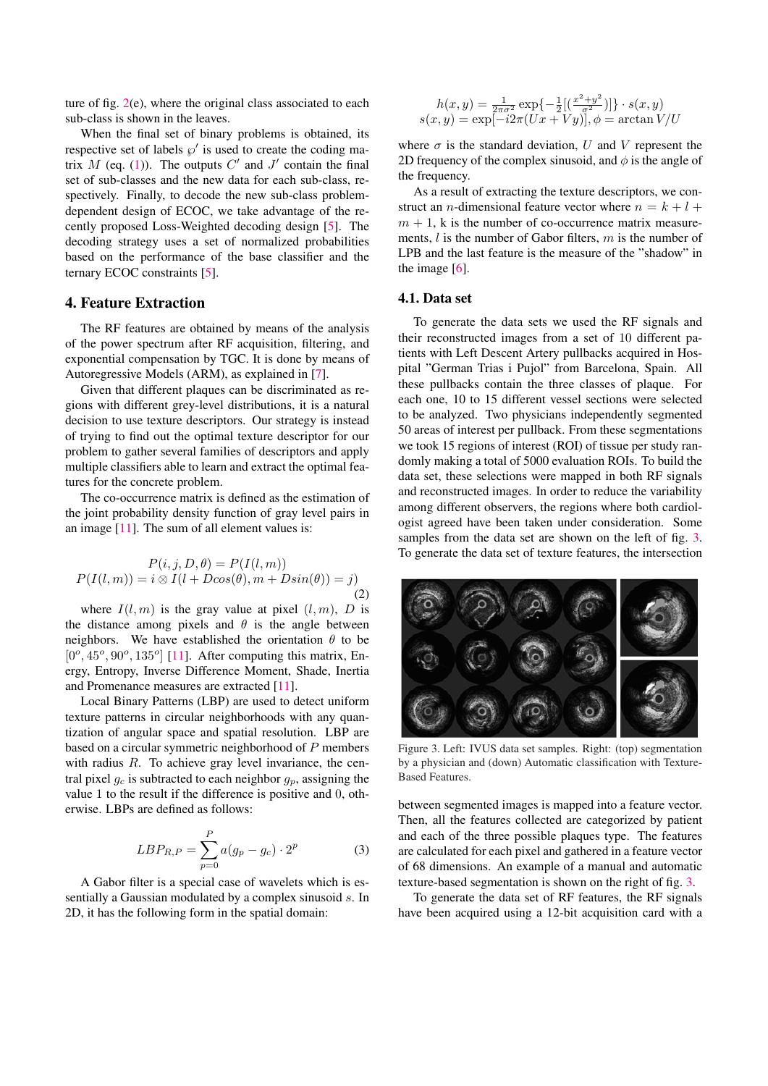ture of fig. 2(e), where the original class associated to each sub-class is shown in the leaves.

When the final set of binary problems is obtained, its respective set of labels  $\wp'$  is used to create the coding ma-<br>trix M (eq. (1)). The outputs C' and I' contain the final trix M (eq. (1)). The outputs C' and J' contain the final<br>set of sub-classes and the new data for each sub-class reset of sub-classes and the new data for each sub-class, respectively. Finally, to decode the new sub-class problemdependent design of ECOC, we take advantage of the recently proposed Loss-Weighted decoding design [5]. The decoding strategy uses a set of normalized probabilities based on the performance of the base classifier and the ternary ECOC constraints [5].

# 4. Feature Extraction

The RF features are obtained by means of the analysis of the power spectrum after RF acquisition, filtering, and exponential compensation by TGC. It is done by means of Autoregressive Models (ARM), as explained in [7].

Given that different plaques can be discriminated as regions with different grey-level distributions, it is a natural decision to use texture descriptors. Our strategy is instead of trying to find out the optimal texture descriptor for our problem to gather several families of descriptors and apply multiple classifiers able to learn and extract the optimal features for the concrete problem.

The co-occurrence matrix is defined as the estimation of the joint probability density function of gray level pairs in an image [11]. The sum of all element values is:

$$
P(i, j, D, \theta) = P(I(l, m))
$$
  

$$
P(I(l, m)) = i \otimes I(l + D\cos(\theta), m + D\sin(\theta)) = j)
$$
\n(2)

where  $I(l, m)$  is the gray value at pixel  $(l, m)$ , D is the distance among pixels and  $\theta$  is the angle between neighbors. We have established the orientation  $\theta$  to be  $[0^\circ, 45^\circ, 90^\circ, 135^\circ]$  [11]. After computing this matrix, Energy, Entropy, Inverse Difference Moment, Shade, Inertia and Promenance measures are extracted [11].

Local Binary Patterns (LBP) are used to detect uniform texture patterns in circular neighborhoods with any quantization of angular space and spatial resolution. LBP are based on a circular symmetric neighborhood of P members with radius  $R$ . To achieve gray level invariance, the central pixel  $g_c$  is subtracted to each neighbor  $g_p$ , assigning the value 1 to the result if the difference is positive and 0, otherwise. LBPs are defined as follows:

$$
LBP_{R,P} = \sum_{p=0}^{P} a(g_p - g_c) \cdot 2^p
$$
 (3)

A Gabor filter is a special case of wavelets which is essentially a Gaussian modulated by a complex sinusoid s. In 2D, it has the following form in the spatial domain:

$$
h(x,y) = \frac{1}{2\pi\sigma^2} \exp\{-\frac{1}{2}[(\frac{x^2+y^2}{\sigma^2})]\} \cdot s(x,y)
$$
  

$$
s(x,y) = \exp[-i2\pi(Ux+Vy)], \phi = \arctan V/U
$$

where  $\sigma$  is the standard deviation, U and V represent the 2D frequency of the complex sinusoid, and  $\phi$  is the angle of the frequency.

As a result of extracting the texture descriptors, we construct an *n*-dimensional feature vector where  $n = k + l +$  $m + 1$ , k is the number of co-occurrence matrix measurements,  $l$  is the number of Gabor filters,  $m$  is the number of LPB and the last feature is the measure of the "shadow" in the image [6].

#### 4.1. Data set

To generate the data sets we used the RF signals and their reconstructed images from a set of 10 different patients with Left Descent Artery pullbacks acquired in Hospital "German Trias i Pujol" from Barcelona, Spain. All these pullbacks contain the three classes of plaque. For each one, 10 to 15 different vessel sections were selected to be analyzed. Two physicians independently segmented 50 areas of interest per pullback. From these segmentations we took 15 regions of interest (ROI) of tissue per study randomly making a total of 5000 evaluation ROIs. To build the data set, these selections were mapped in both RF signals and reconstructed images. In order to reduce the variability among different observers, the regions where both cardiologist agreed have been taken under consideration. Some samples from the data set are shown on the left of fig. 3. To generate the data set of texture features, the intersection



Figure 3. Left: IVUS data set samples. Right: (top) segmentation by a physician and (down) Automatic classification with Texture-Based Features.

between segmented images is mapped into a feature vector. Then, all the features collected are categorized by patient and each of the three possible plaques type. The features are calculated for each pixel and gathered in a feature vector of 68 dimensions. An example of a manual and automatic texture-based segmentation is shown on the right of fig. 3.

To generate the data set of RF features, the RF signals have been acquired using a 12-bit acquisition card with a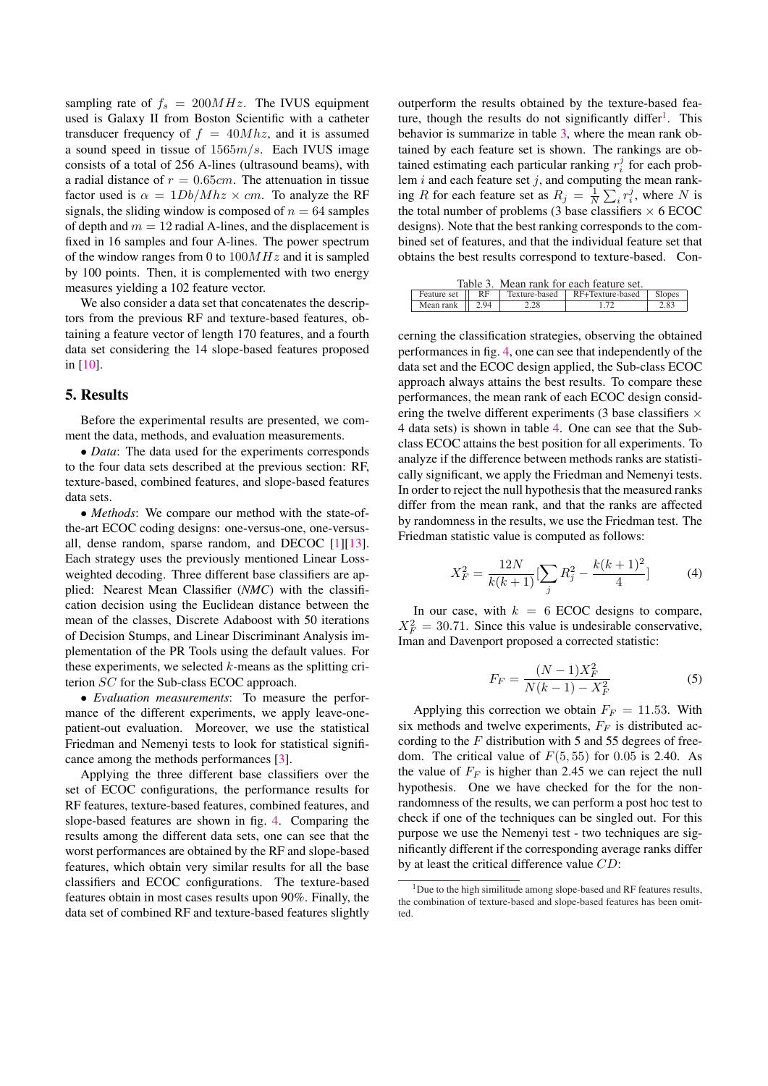sampling rate of  $f_s = 200 MHz$ . The IVUS equipment used is Galaxy II from Boston Scientific with a catheter transducer frequency of  $f = 40Mhz$ , and it is assumed a sound speed in tissue of  $1565m/s$ . Each IVUS image consists of a total of 256 A-lines (ultrasound beams), with a radial distance of  $r = 0.65$ *cm*. The attenuation in tissue factor used is  $\alpha = 1Db/Mhz \times cm$ . To analyze the RF signals, the sliding window is composed of  $n = 64$  samples of depth and  $m = 12$  radial A-lines, and the displacement is fixed in 16 samples and four A-lines. The power spectrum of the window ranges from 0 to  $100MHz$  and it is sampled by 100 points. Then, it is complemented with two energy measures yielding a 102 feature vector.

We also consider a data set that concatenates the descriptors from the previous RF and texture-based features, obtaining a feature vector of length 170 features, and a fourth data set considering the 14 slope-based features proposed in [10].

#### 5. Results

Before the experimental results are presented, we comment the data, methods, and evaluation measurements.

• *Data*: The data used for the experiments corresponds to the four data sets described at the previous section: RF, texture-based, combined features, and slope-based features data sets.

• *Methods*: We compare our method with the state-ofthe-art ECOC coding designs: one-versus-one, one-versusall, dense random, sparse random, and DECOC [1][13]. Each strategy uses the previously mentioned Linear Lossweighted decoding. Three different base classifiers are applied: Nearest Mean Classifier (*NMC*) with the classification decision using the Euclidean distance between the mean of the classes, Discrete Adaboost with 50 iterations of Decision Stumps, and Linear Discriminant Analysis implementation of the PR Tools using the default values. For these experiments, we selected  $k$ -means as the splitting criterion SC for the Sub-class ECOC approach.

• *Evaluation measurements*: To measure the performance of the different experiments, we apply leave-onepatient-out evaluation. Moreover, we use the statistical Friedman and Nemenyi tests to look for statistical significance among the methods performances [3].

Applying the three different base classifiers over the set of ECOC configurations, the performance results for RF features, texture-based features, combined features, and slope-based features are shown in fig. 4. Comparing the results among the different data sets, one can see that the worst performances are obtained by the RF and slope-based features, which obtain very similar results for all the base classifiers and ECOC configurations. The texture-based features obtain in most cases results upon 90%. Finally, the data set of combined RF and texture-based features slightly outperform the results obtained by the texture-based feature, though the results do not significantly differ<sup>1</sup>. This behavior is summarize in table 3, where the mean rank obtained by each feature set is shown. The rankings are obtained estimating each particular ranking  $r_i^j$  for each prob-<br>lem *i* and each feature set *i* and computing the mean ranklem  $i$  and each feature set  $j$ , and computing the mean ranking R for each feature set as  $R_j = \frac{1}{N} \sum_i r_i^j$ , where N is<br>the total number of problems (3 base classifiers  $\times$  6 ECOC ing *t* to each reading set as  $t_{ij} = N \sum_{i} t_{i}$ , where *I* is<br>the total number of problems (3 base classifiers  $\times$  6 ECOC designs). Note that the best ranking corresponds to the combined set of features, and that the individual feature set that obtains the best results correspond to texture-based. Con-

| Table 3. Mean rank for each feature set. |  |      |                                                               |      |
|------------------------------------------|--|------|---------------------------------------------------------------|------|
|                                          |  |      | Feature set    RF   Texture-based   RF+Texture-based   Slopes |      |
| Mean rank $  2.94  $                     |  | 2.28 |                                                               | 2.83 |

cerning the classification strategies, observing the obtained performances in fig. 4, one can see that independently of the data set and the ECOC design applied, the Sub-class ECOC approach always attains the best results. To compare these performances, the mean rank of each ECOC design considering the twelve different experiments (3 base classifiers  $\times$ 4 data sets) is shown in table 4. One can see that the Subclass ECOC attains the best position for all experiments. To analyze if the difference between methods ranks are statistically significant, we apply the Friedman and Nemenyi tests. In order to reject the null hypothesis that the measured ranks differ from the mean rank, and that the ranks are affected by randomness in the results, we use the Friedman test. The Friedman statistic value is computed as follows:

$$
X_F^2 = \frac{12N}{k(k+1)} \left[ \sum_j R_j^2 - \frac{k(k+1)^2}{4} \right] \tag{4}
$$

In our case, with  $k = 6$  ECOC designs to compare,  $X_F^2 = 30.71$ . Since this value is undesirable conservative,<br>Iman and Davenport proposed a corrected statistic: Iman and Davenport proposed a corrected statistic:

$$
F_F = \frac{(N-1)X_F^2}{N(k-1) - X_F^2}
$$
 (5)

Applying this correction we obtain  $F_F = 11.53$ . With six methods and twelve experiments,  $F_F$  is distributed according to the  $F$  distribution with 5 and 55 degrees of freedom. The critical value of  $F(5, 55)$  for 0.05 is 2.40. As the value of  $F_F$  is higher than 2.45 we can reject the null hypothesis. One we have checked for the for the nonrandomness of the results, we can perform a post hoc test to check if one of the techniques can be singled out. For this purpose we use the Nemenyi test - two techniques are significantly different if the corresponding average ranks differ by at least the critical difference value CD:

 $1$ Due to the high similitude among slope-based and RF features results, the combination of texture-based and slope-based features has been omitted.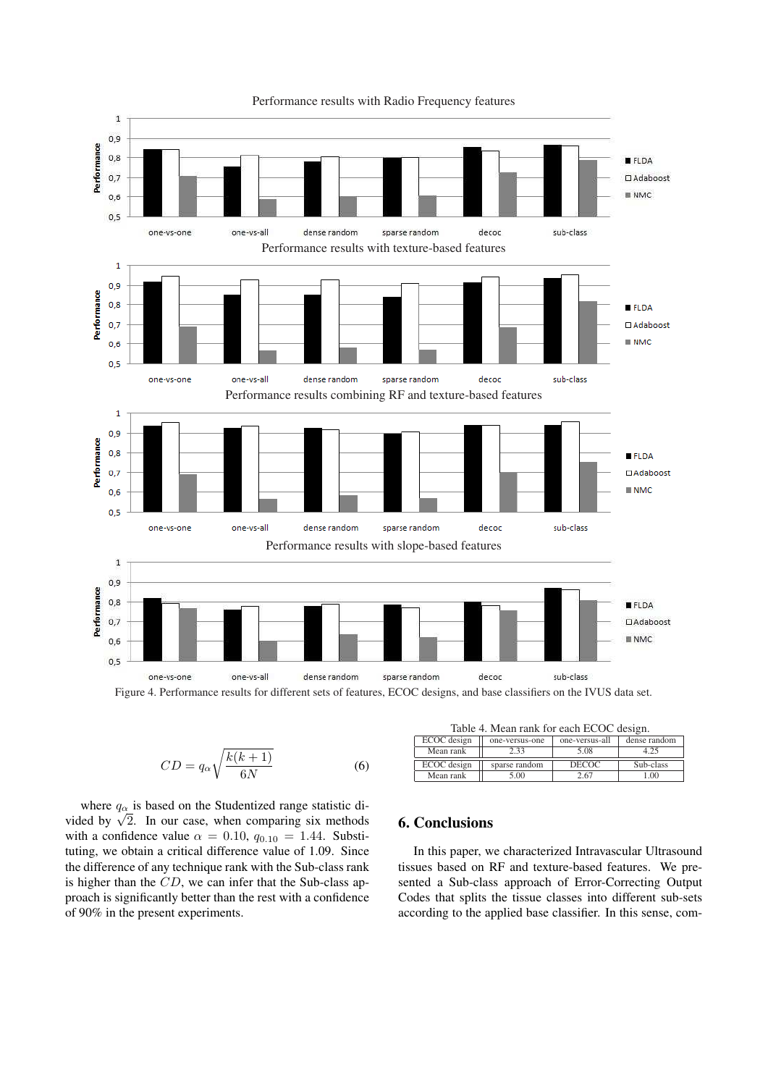

Performance results with Radio Frequency features

Figure 4. Performance results for different sets of features, ECOC designs, and base classifiers on the IVUS data set.

$$
CD = q_{\alpha} \sqrt{\frac{k(k+1)}{6N}}
$$
 (6)

where  $q_{\alpha}$  is based on the Studentized range statistic divided by  $\sqrt{2}$ . In our case, when comparing six methods with a confidence value  $\alpha = 0.10$ ,  $q_{0.10} = 1.44$ . Substituting, we obtain a critical difference value of 1.09. Since the difference of any technique rank with the Sub-class rank is higher than the  $CD$ , we can infer that the Sub-class approach is significantly better than the rest with a confidence of 90% in the present experiments.

6. Conclusions

Mean rank

In this paper, we characterized Intravascular Ultrasound tissues based on RF and texture-based features. We presented a Sub-class approach of Error-Correcting Output Codes that splits the tissue classes into different sub-sets according to the applied base classifier. In this sense, com-

Table 4. Mean rank for each ECOC design. ECOC design one-versus-one one-versus-all dense random<br>Mean rank 233 5.08 4.25

ECOC design sparse random DECOC Sub-class<br>Mean rank 5.00 2.67 1.00 Mean rank  $\vert$  5.00  $\vert$  2.67 1.00